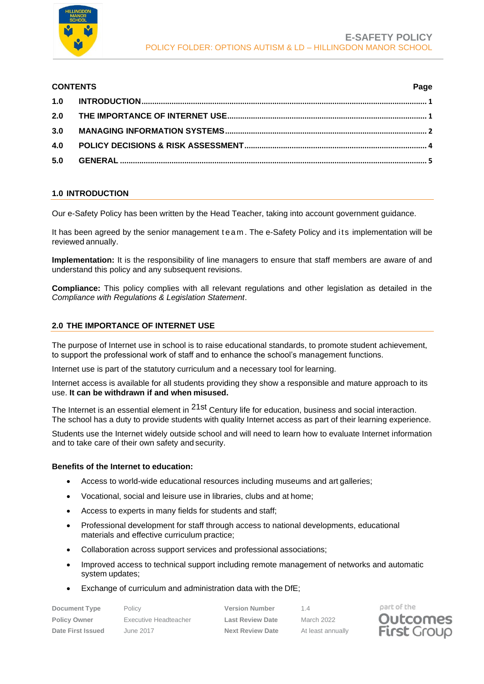

| <b>CONTENTS</b> |  | Page |
|-----------------|--|------|
|                 |  |      |
|                 |  |      |
|                 |  |      |
|                 |  |      |
|                 |  |      |
|                 |  |      |

# <span id="page-0-0"></span>**1.0 INTRODUCTION**

Our e-Safety Policy has been written by the Head Teacher, taking into account government guidance.

It has been agreed by the senior management team. The e-Safety Policy and its implementation will be reviewed annually.

**Implementation:** It is the responsibility of line managers to ensure that staff members are aware of and understand this policy and any subsequent revisions.

**Compliance:** This policy complies with all relevant regulations and other legislation as detailed in the *Compliance with Regulations & Legislation Statement*.

# <span id="page-0-1"></span>**2.0 THE IMPORTANCE OF INTERNET USE**

The purpose of Internet use in school is to raise educational standards, to promote student achievement, to support the professional work of staff and to enhance the school's management functions.

Internet use is part of the statutory curriculum and a necessary tool for learning.

Internet access is available for all students providing they show a responsible and mature approach to its use. **It can be withdrawn if and when misused.**

The Internet is an essential element in <sup>21st</sup> Century life for education, business and social interaction. The school has a duty to provide students with quality Internet access as part of their learning experience.

Students use the Internet widely outside school and will need to learn how to evaluate Internet information and to take care of their own safety and security.

## **Benefits of the Internet to education:**

- Access to world-wide educational resources including museums and art galleries;
- Vocational, social and leisure use in libraries, clubs and at home;
- Access to experts in many fields for students and staff;
- Professional development for staff through access to national developments, educational materials and effective curriculum practice;
- Collaboration across support services and professional associations;
- Improved access to technical support including remote management of networks and automatic system updates;
- Exchange of curriculum and administration data with the DfE;

| Document Type       | Policv                | <b>Version Number</b>   |                   | part of the  |
|---------------------|-----------------------|-------------------------|-------------------|--------------|
| <b>Policy Owner</b> | Executive Headteacher | <b>Last Review Date</b> | March 2022        | Outc         |
| Date First Issued   | June 2017             | <b>Next Review Date</b> | At least annually | <b>First</b> |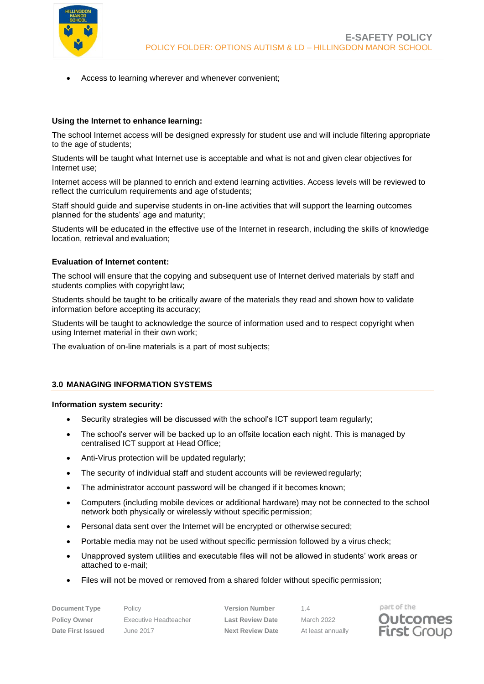

• Access to learning wherever and whenever convenient;

## **Using the Internet to enhance learning:**

The school Internet access will be designed expressly for student use and will include filtering appropriate to the age of students;

Students will be taught what Internet use is acceptable and what is not and given clear objectives for Internet use;

Internet access will be planned to enrich and extend learning activities. Access levels will be reviewed to reflect the curriculum requirements and age of students;

Staff should guide and supervise students in on-line activities that will support the learning outcomes planned for the students' age and maturity;

Students will be educated in the effective use of the Internet in research, including the skills of knowledge location, retrieval and evaluation;

## **Evaluation of Internet content:**

The school will ensure that the copying and subsequent use of Internet derived materials by staff and students complies with copyright law;

Students should be taught to be critically aware of the materials they read and shown how to validate information before accepting its accuracy;

Students will be taught to acknowledge the source of information used and to respect copyright when using Internet material in their own work;

The evaluation of on-line materials is a part of most subjects;

## <span id="page-1-0"></span>**3.0 MANAGING INFORMATION SYSTEMS**

#### **Information system security:**

- Security strategies will be discussed with the school's ICT support team regularly;
- The school's server will be backed up to an offsite location each night. This is managed by centralised ICT support at Head Office;
- Anti-Virus protection will be updated regularly;
- The security of individual staff and student accounts will be reviewed regularly;
- The administrator account password will be changed if it becomes known;
- Computers (including mobile devices or additional hardware) may not be connected to the school network both physically or wirelessly without specific permission;
- Personal data sent over the Internet will be encrypted or otherwise secured;
- Portable media may not be used without specific permission followed by a virus check;
- Unapproved system utilities and executable files will not be allowed in students' work areas or attached to e-mail;
- Files will not be moved or removed from a shared folder without specific permission;

**Policy Owner** Executive Headteacher **Last Review Date** March 2022 **Date First Issued** June 2017 **Next Review Date** At least annually

**Document Type** Policy **Provides** Policy **Version Number** 1.4

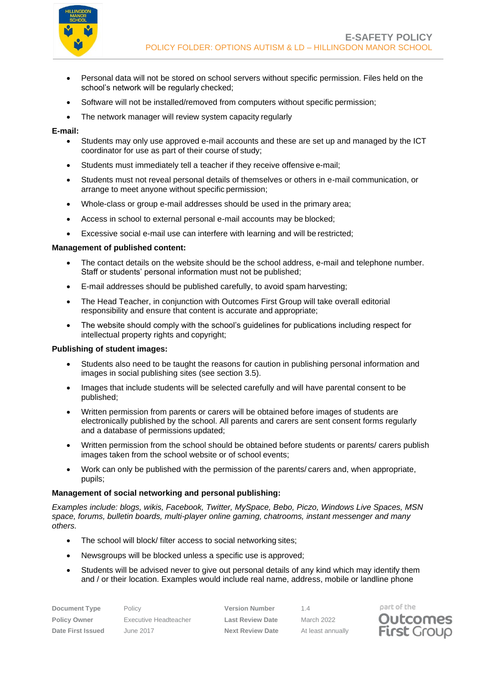

- Personal data will not be stored on school servers without specific permission. Files held on the school's network will be regularly checked;
- Software will not be installed/removed from computers without specific permission;
- The network manager will review system capacity regularly

## **E-mail:**

- Students may only use approved e-mail accounts and these are set up and managed by the ICT coordinator for use as part of their course of study;
- Students must immediately tell a teacher if they receive offensive e-mail;
- Students must not reveal personal details of themselves or others in e-mail communication, or arrange to meet anyone without specific permission;
- Whole-class or group e-mail addresses should be used in the primary area;
- Access in school to external personal e-mail accounts may be blocked;
- Excessive social e-mail use can interfere with learning and will be restricted;

## **Management of published content:**

- The contact details on the website should be the school address, e-mail and telephone number. Staff or students' personal information must not be published;
- E-mail addresses should be published carefully, to avoid spam harvesting;
- The Head Teacher, in conjunction with Outcomes First Group will take overall editorial responsibility and ensure that content is accurate and appropriate;
- The website should comply with the school's guidelines for publications including respect for intellectual property rights and copyright;

## **Publishing of student images:**

- Students also need to be taught the reasons for caution in publishing personal information and images in social publishing sites (see section 3.5).
- Images that include students will be selected carefully and will have parental consent to be published;
- Written permission from parents or carers will be obtained before images of students are electronically published by the school. All parents and carers are sent consent forms regularly and a database of permissions updated;
- Written permission from the school should be obtained before students or parents/ carers publish images taken from the school website or of school events;
- Work can only be published with the permission of the parents/ carers and, when appropriate, pupils;

## **Management of social networking and personal publishing:**

*Examples include: blogs, wikis, Facebook, Twitter, MySpace, Bebo, Piczo, Windows Live Spaces, MSN space, forums, bulletin boards, multi-player online gaming, chatrooms, instant messenger and many others.*

- The school will block/ filter access to social networking sites;
- Newsgroups will be blocked unless a specific use is approved;
- Students will be advised never to give out personal details of any kind which may identify them and / or their location. Examples would include real name, address, mobile or landline phone

| Document Type       | Policy                | <b>Version Number</b>   | 14                | part of the      |
|---------------------|-----------------------|-------------------------|-------------------|------------------|
| <b>Policy Owner</b> | Executive Headteacher | <b>Last Review Date</b> | March 2022        | Outcon           |
| Date First Issued   | June 2017             | <b>Next Review Date</b> | At least annually | <b>First Gro</b> |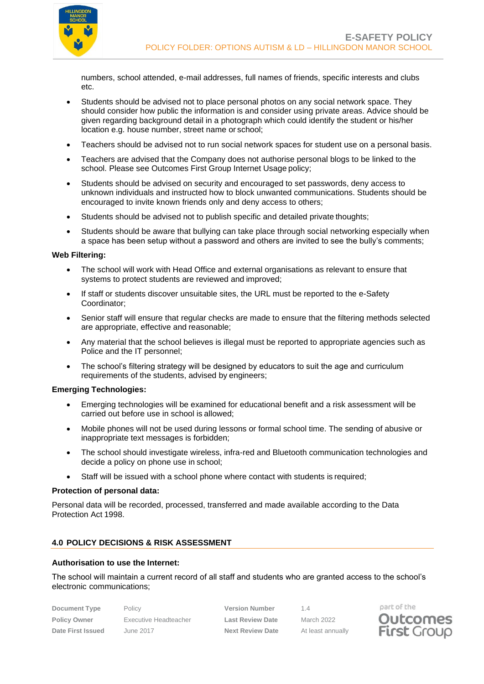

numbers, school attended, e-mail addresses, full names of friends, specific interests and clubs etc.

- Students should be advised not to place personal photos on any social network space. They should consider how public the information is and consider using private areas. Advice should be given regarding background detail in a photograph which could identify the student or his/her location e.g. house number, street name or school;
- Teachers should be advised not to run social network spaces for student use on a personal basis.
- Teachers are advised that the Company does not authorise personal blogs to be linked to the school. Please see Outcomes First Group Internet Usage policy;
- Students should be advised on security and encouraged to set passwords, deny access to unknown individuals and instructed how to block unwanted communications. Students should be encouraged to invite known friends only and deny access to others;
- Students should be advised not to publish specific and detailed private thoughts;
- Students should be aware that bullying can take place through social networking especially when a space has been setup without a password and others are invited to see the bully's comments;

#### **Web Filtering:**

- The school will work with Head Office and external organisations as relevant to ensure that systems to protect students are reviewed and improved;
- If staff or students discover unsuitable sites, the URL must be reported to the e-Safety Coordinator;
- Senior staff will ensure that regular checks are made to ensure that the filtering methods selected are appropriate, effective and reasonable;
- Any material that the school believes is illegal must be reported to appropriate agencies such as Police and the IT personnel;
- The school's filtering strategy will be designed by educators to suit the age and curriculum requirements of the students, advised by engineers;

## **Emerging Technologies:**

- Emerging technologies will be examined for educational benefit and a risk assessment will be carried out before use in school is allowed;
- Mobile phones will not be used during lessons or formal school time. The sending of abusive or inappropriate text messages is forbidden;
- The school should investigate wireless, infra-red and Bluetooth communication technologies and decide a policy on phone use in school;
- Staff will be issued with a school phone where contact with students is required;

## **Protection of personal data:**

Personal data will be recorded, processed, transferred and made available according to the Data Protection Act 1998.

## <span id="page-3-0"></span>**4.0 POLICY DECISIONS & RISK ASSESSMENT**

#### **Authorisation to use the Internet:**

The school will maintain a current record of all staff and students who are granted access to the school's electronic communications;

| <b>Document Type</b> | Policy                |
|----------------------|-----------------------|
| <b>Policy Owner</b>  | Executive Headteacher |
| Date First Issued    | June 2017             |

**Version Number** 1.4 **Last Review Date** March 2022 **Next Review Date** At least annually

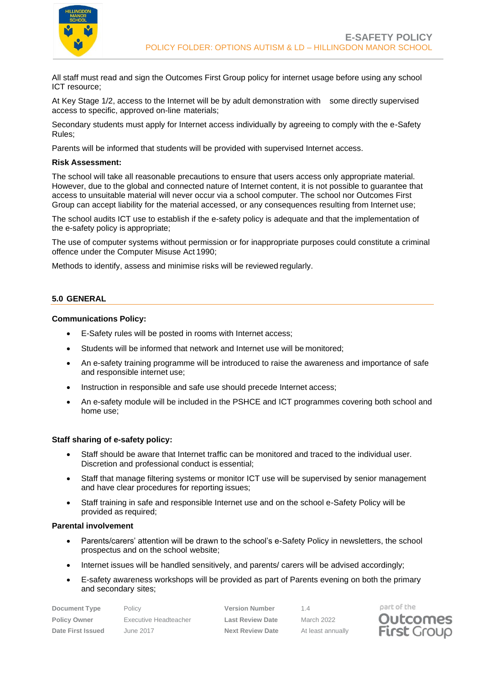

All staff must read and sign the Outcomes First Group policy for internet usage before using any school ICT resource;

At Key Stage 1/2, access to the Internet will be by adult demonstration with some directly supervised access to specific, approved on-line materials;

Secondary students must apply for Internet access individually by agreeing to comply with the e-Safety Rules;

Parents will be informed that students will be provided with supervised Internet access.

#### **Risk Assessment:**

The school will take all reasonable precautions to ensure that users access only appropriate material. However, due to the global and connected nature of Internet content, it is not possible to guarantee that access to unsuitable material will never occur via a school computer. The school nor Outcomes First Group can accept liability for the material accessed, or any consequences resulting from Internet use;

The school audits ICT use to establish if the e-safety policy is adequate and that the implementation of the e-safety policy is appropriate;

The use of computer systems without permission or for inappropriate purposes could constitute a criminal offence under the Computer Misuse Act 1990;

Methods to identify, assess and minimise risks will be reviewed regularly.

## <span id="page-4-0"></span>**5.0 GENERAL**

#### **Communications Policy:**

- E-Safety rules will be posted in rooms with Internet access;
- Students will be informed that network and Internet use will be monitored;
- An e-safety training programme will be introduced to raise the awareness and importance of safe and responsible internet use;
- Instruction in responsible and safe use should precede Internet access;
- An e-safety module will be included in the PSHCE and ICT programmes covering both school and home use;

#### **Staff sharing of e-safety policy:**

- Staff should be aware that Internet traffic can be monitored and traced to the individual user. Discretion and professional conduct is essential;
- Staff that manage filtering systems or monitor ICT use will be supervised by senior management and have clear procedures for reporting issues;
- Staff training in safe and responsible Internet use and on the school e-Safety Policy will be provided as required;

#### **Parental involvement**

- Parents/carers' attention will be drawn to the school's e-Safety Policy in newsletters, the school prospectus and on the school website;
- Internet issues will be handled sensitively, and parents/ carers will be advised accordingly;
- E-safety awareness workshops will be provided as part of Parents evening on both the primary and secondary sites;

| Document Type       | Policy                | <b>Version Number</b>   | 14           |
|---------------------|-----------------------|-------------------------|--------------|
| <b>Policy Owner</b> | Executive Headteacher | <b>Last Review Date</b> | March 2022   |
| Date First Issued   | June 2017             | <b>Next Review Date</b> | At least ann |

**be** At least annually

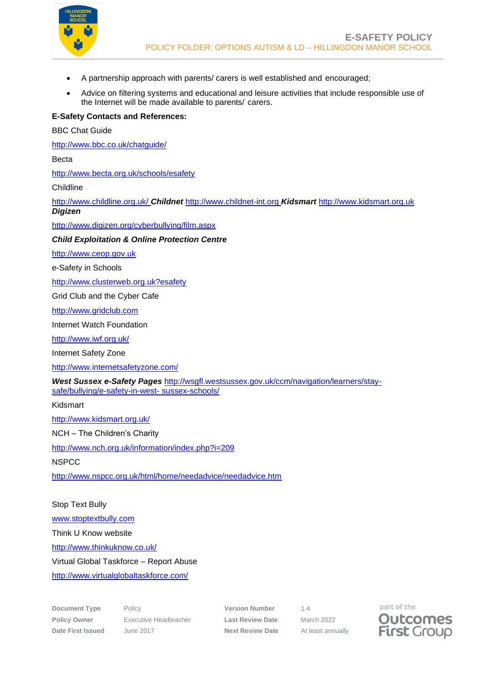

- A partnership approach with parents/ carers is well established and encouraged;
- Advice on filtering systems and educational and leisure activities that include responsible use of the Internet will be made available to parents/ carers.

#### **E-Safety Contacts and References:**

BBC Chat Guide

<http://www.bbc.co.uk/chatguide/>

Becta

<http://www.becta.org.uk/schools/esafety>

Childline

<http://www.childline.org.uk/> *Childnet* [http://www.childnet-int.org](http://www.childnet-int.org/) *Kidsmart* [http://www.kidsmart.org.uk](http://www.kidsmart.org.uk/) *Digizen*

<http://www.digizen.org/cyberbullying/film.aspx>

#### *Child Exploitation & Online Protection Centre*

[http://www.ceop.gov.uk](http://www.ceop.gov.uk/)

e-Safety in Schools

[http://www.clusterweb.org.uk?esafety](http://www.clusterweb.org.uk/?esafety)

Grid Club and the Cyber Cafe

[http://www.gridclub.com](http://www.gridclub.com/)

Internet Watch Foundation

<http://www.iwf.org.uk/>

Internet Safety Zone

<http://www.internetsafetyzone.com/>

*West Sussex e-Safety Pages* [http://wsgfl.westsussex.gov.uk/ccm/navigation/learners/stay](http://wsgfl.westsussex.gov.uk/ccm/navigation/learners/stay-safe/bullying/e-safety-in-west-sussex-schools/)[safe/bullying/e-safety-in-west-](http://wsgfl.westsussex.gov.uk/ccm/navigation/learners/stay-safe/bullying/e-safety-in-west-sussex-schools/) [sussex-schools/](http://wsgfl.westsussex.gov.uk/ccm/navigation/learners/stay-safe/bullying/e-safety-in-west-sussex-schools/)

Kidsmart

<http://www.kidsmart.org.uk/>

NCH – The Children's Charity

<http://www.nch.org.uk/information/index.php?i=209>

**NSPCC** 

<http://www.nspcc.org.uk/html/home/needadvice/needadvice.htm>

Stop Text Bully [www.stoptextbully.com](http://www.stoptextbully.com/) Think U Know website <http://www.thinkuknow.co.uk/> Virtual Global Taskforce – Report Abuse <http://www.virtualglobaltaskforce.com/>

**Policy Owner** Executive Headteacher **Last Review Date** March 2022 **Date First Issued** June 2017 **Next Review Date** At least annually

**Document Type** Policy **Provides** Policy **Version Number** 1.4

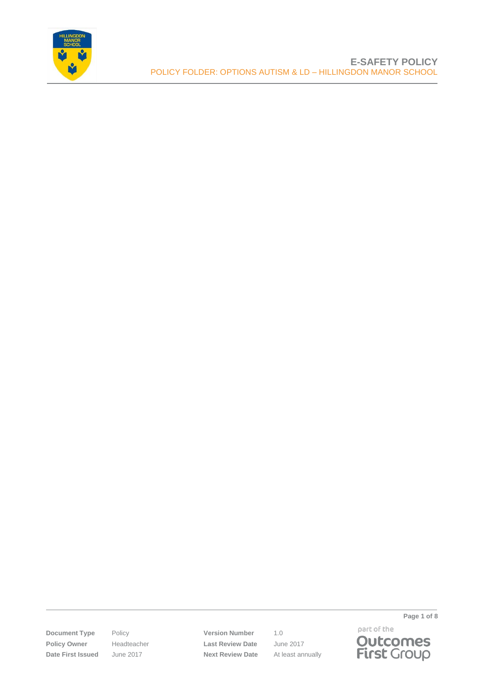

**Document Type** Policy **Version Number** 1.0 Policy Owner **Headteacher Last Review Date** June 2017 **Date First Issued** June 2017 **Next Review Date** At least annually



**Page 1 of 8**